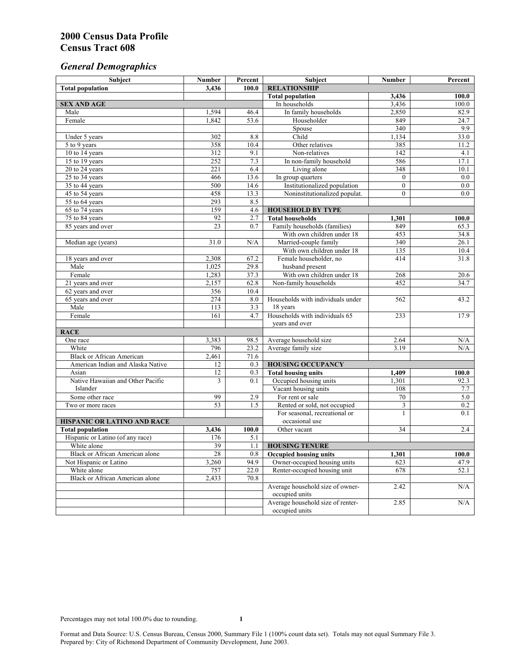# *General Demographics*

| Subject                                | <b>Number</b> | Percent | Subject                           | <b>Number</b>  | Percent |
|----------------------------------------|---------------|---------|-----------------------------------|----------------|---------|
| <b>Total population</b>                | 3,436         | 100.0   | <b>RELATIONSHIP</b>               |                |         |
|                                        |               |         | <b>Total population</b>           | 3,436          | 100.0   |
| <b>SEX AND AGE</b>                     |               |         | In households                     | 3,436          | 100.0   |
| Male                                   | 1,594         | 46.4    | In family households              | 2,850          | 82.9    |
| Female                                 | 1,842         | 53.6    | Householder                       | 849            | 24.7    |
|                                        |               |         | Spouse                            | 340            | 9.9     |
| Under 5 years                          | 302           | 8.8     | Child                             | 1,134          | 33.0    |
| 5 to 9 years                           | 358           | 10.4    | Other relatives                   | 385            | 11.2    |
| 10 to 14 years                         | 312           | 9.1     | Non-relatives                     | 142            | 4.1     |
| 15 to 19 years                         | 252           | 7.3     | In non-family household           | 586            | 17.1    |
| 20 to 24 years                         | 221           | 6.4     | Living alone                      | 348            | 10.1    |
| 25 to 34 years                         | 466           | 13.6    | In group quarters                 | $\mathbf{0}$   | 0.0     |
| 35 to 44 years                         | 500           | 14.6    | Institutionalized population      | $\theta$       | 0.0     |
| 45 to 54 years                         | 458           | 13.3    | Noninstitutionalized populat.     | $\overline{0}$ | 0.0     |
| 55 to 64 years                         | 293           | 8.5     |                                   |                |         |
| 65 to 74 years                         | 159           | 4.6     | <b>HOUSEHOLD BY TYPE</b>          |                |         |
| 75 to 84 years                         | 92            | 2.7     | <b>Total households</b>           | 1,301          | 100.0   |
| 85 years and over                      | 23            | 0.7     | Family households (families)      | 849            | 65.3    |
|                                        |               |         | With own children under 18        | 453            | 34.8    |
| Median age (years)                     | 31.0          | N/A     | Married-couple family             | 340            | 26.1    |
|                                        |               |         | With own children under 18        | 135            | 10.4    |
| 18 years and over                      | 2,308         | 67.2    | Female householder, no            | 414            | 31.8    |
| Male                                   | 1,025         | 29.8    | husband present                   |                |         |
| Female                                 | 1,283         | 37.3    | With own children under 18        | 268            | 20.6    |
| 21 years and over                      | 2,157         | 62.8    | Non-family households             | 452            | 34.7    |
| 62 years and over                      | 356           | 10.4    |                                   |                |         |
| 65 years and over                      | 274           | 8.0     | Households with individuals under | 562            | 43.2    |
| Male                                   | 113           | 3.3     | 18 years                          |                |         |
| Female                                 | 161           | 4.7     | Households with individuals 65    | 233            | 17.9    |
|                                        |               |         | years and over                    |                |         |
| <b>RACE</b>                            |               |         |                                   |                |         |
| One race                               | 3,383         | 98.5    | Average household size            | 2.64           | N/A     |
| White                                  | 796           | 23.2    | Average family size               | 3.19           | N/A     |
| <b>Black or African American</b>       | 2,461         | 71.6    |                                   |                |         |
| American Indian and Alaska Native      | 12            | 0.3     | <b>HOUSING OCCUPANCY</b>          |                |         |
| Asian                                  | 12            | 0.3     | <b>Total housing units</b>        | 1,409          | 100.0   |
| Native Hawaiian and Other Pacific      | 3             | 0.1     | Occupied housing units            | 1,301          | 92.3    |
| Islander                               |               |         | Vacant housing units              | 108            | 7.7     |
| Some other race                        | 99            | 2.9     | For rent or sale                  | 70             | 5.0     |
| Two or more races                      | 53            | 1.5     | Rented or sold, not occupied      | 3              | 0.2     |
|                                        |               |         | For seasonal, recreational or     | 1              | 0.1     |
| HISPANIC OR LATINO AND RACE            |               |         | occasional use                    |                |         |
| <b>Total population</b>                | 3,436         | 100.0   | Other vacant                      | 34             | 2.4     |
| Hispanic or Latino (of any race)       | 176           | 5.1     |                                   |                |         |
| White alone                            | 39            | 1.1     | <b>HOUSING TENURE</b>             |                |         |
| Black or African American alone        | 28            | 0.8     | <b>Occupied housing units</b>     | 1,301          | 100.0   |
| Not Hispanic or Latino                 | 3,260         | 94.9    | Owner-occupied housing units      | 623            | 47.9    |
| White alone                            | 757           | 22.0    | Renter-occupied housing unit      | 678            | 52.1    |
| <b>Black or African American alone</b> | 2,433         | 70.8    |                                   |                |         |
|                                        |               |         | Average household size of owner-  | 2.42           | N/A     |
|                                        |               |         | occupied units                    |                |         |
|                                        |               |         | Average household size of renter- | 2.85           | N/A     |
|                                        |               |         | occupied units                    |                |         |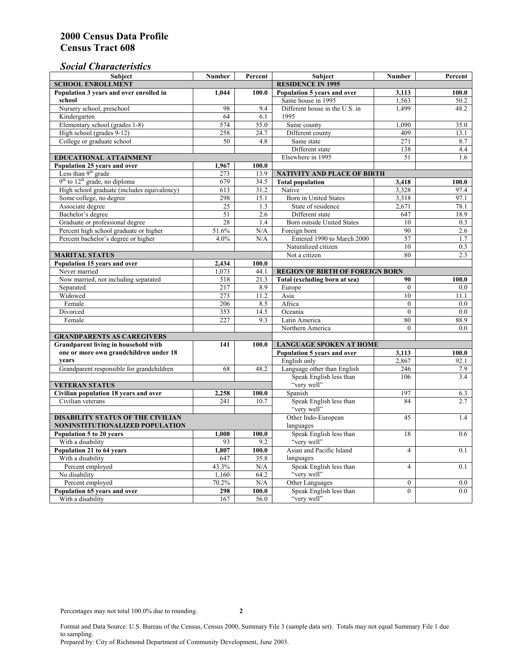# *Social Characteristics*

| <b>Subject</b>                                             | <b>Number</b>            | Percent       | <b>Subject</b>                                         | <b>Number</b>    | Percent    |
|------------------------------------------------------------|--------------------------|---------------|--------------------------------------------------------|------------------|------------|
| <b>SCHOOL ENROLLMENT</b>                                   | <b>RESIDENCE IN 1995</b> |               |                                                        |                  |            |
| Population 3 years and over enrolled in                    | 1,044                    | 100.0         | Population 5 years and over                            | 3,113            | 100.0      |
| school                                                     |                          |               | Same house in 1995                                     | 1,563            | 50.2       |
| Nursery school, preschool                                  | 98                       | 9.4           | Different house in the U.S. in                         | 1,499            | 48.2       |
| Kindergarten                                               | 64                       | 6.1           | 1995                                                   |                  |            |
| Elementary school (grades 1-8)                             | 574                      | 55.0          | Same county                                            | 1.090            | 35.0       |
| High school (grades 9-12)                                  | 258                      | 24.7          | Different county                                       | 409              | 13.1       |
| College or graduate school                                 | 50                       | 4.8           | Same state                                             | 271              | 8.7        |
|                                                            |                          |               | Different state                                        | 138              | 4.4        |
| EDUCATIONAL ATTAINMENT                                     |                          |               | Elsewhere in 1995                                      | 51               | 1.6        |
| Population 25 years and over                               | 1,967                    | 100.0         |                                                        |                  |            |
| Less than 9 <sup>th</sup> grade                            | 273                      | 13.9          | <b>NATIVITY AND PLACE OF BIRTH</b>                     |                  |            |
| $9th$ to $12th$ grade, no diploma                          | 679                      | 34.5          | <b>Total population</b>                                | 3,418            | 100.0      |
| High school graduate (includes equivalency)                | 613                      | 31.2          | Native                                                 | 3,328            | 97.4       |
| Some college, no degree                                    | 298                      | 15.1          | Born in United States                                  | 3,318            | 97.1       |
| Associate degree                                           | 25                       | 1.3           | State of residence                                     | 2,671            | 78.1       |
| Bachelor's degree                                          | 51                       | 2.6           | Different state                                        | 647              | 18.9       |
| Graduate or professional degree                            | 28                       | 1.4           | <b>Born outside United States</b>                      | 10               | 0.3        |
| Percent high school graduate or higher                     | 51.6%                    | N/A           | Foreign born                                           | 90               | 2.6        |
| Percent bachelor's degree or higher                        | 4.0%                     | N/A           | Entered 1990 to March 2000                             | 57               | 1.7        |
|                                                            |                          |               | Naturalized citizen                                    | 10               | 0.3        |
| <b>MARITAL STATUS</b>                                      |                          |               | Not a citizen                                          | 80               | 2.3        |
| Population 15 years and over                               | 2.434                    | 100.0         |                                                        |                  |            |
| Never married                                              | 1.073                    | 44.1          | <b>REGION OF BIRTH OF FOREIGN BORN</b>                 |                  |            |
| Now married, not including separated                       | 518                      | 21.3          | Total (excluding born at sea)                          | 90               | 100.0      |
| Separated                                                  | 217                      | 8.9           | Europe                                                 | $\mathbf{0}$     | $0.0\,$    |
| Widowed                                                    | 273                      | 11.2          | Asia                                                   | 10               | 11.1       |
| Female                                                     | 206                      | 8.5           | Africa                                                 | $\theta$         | 0.0        |
| Divorced                                                   | 353                      | 14.5          | Oceania                                                | $\mathbf{0}$     | 0.0        |
| Female                                                     | 227                      | 9.3           | Latin America                                          | 80               | 88.9       |
|                                                            |                          |               | Northern America                                       | $\theta$         | 0.0        |
| <b>GRANDPARENTS AS CAREGIVERS</b>                          |                          |               |                                                        |                  |            |
| Grandparent living in household with<br>141                |                          | 100.0         | <b>LANGUAGE SPOKEN AT HOME</b><br>3,113<br>100.0       |                  |            |
| one or more own grandchildren under 18<br>years            |                          |               | Population 5 years and over                            |                  |            |
|                                                            |                          |               | English only                                           | 2,867            | 92.1       |
| Grandparent responsible for grandchildren                  | 68                       | 48.2          | Language other than English<br>Speak English less than | 246<br>106       | 7.9        |
|                                                            |                          |               | "very well"                                            |                  | 3.4        |
| <b>VETERAN STATUS</b>                                      |                          |               |                                                        | 197              |            |
| Civilian population 18 years and over<br>Civilian veterans | 2,258<br>241             | 100.0<br>10.7 | Spanish<br>Speak English less than                     | 84               | 6.3<br>2.7 |
|                                                            |                          |               | "very well"                                            |                  |            |
| <b>DISABILITY STATUS OF THE CIVILIAN</b>                   | Other Indo-European      | 45            | 1.4                                                    |                  |            |
| NONINSTITUTIONALIZED POPULATION                            | languages                |               |                                                        |                  |            |
| Population 5 to 20 years                                   | 1,008                    | 100.0         | Speak English less than                                | 18               | 0.6        |
| With a disability                                          | 93                       | 9.2           | "very well"                                            |                  |            |
| Population 21 to 64 years                                  | 1.807                    | 100.0         | Asian and Pacific Island                               | $\overline{4}$   | 0.1        |
| With a disability                                          | 647                      | 35.8          | languages                                              |                  |            |
| Percent employed                                           | 43.3%                    | N/A           | Speak English less than                                | $\overline{4}$   | 0.1        |
| No disability                                              | 1,160                    | 64.2          | "very well"                                            |                  |            |
| Percent employed                                           | 70.2%                    | N/A           | Other Languages                                        | $\boldsymbol{0}$ | $0.0\,$    |
| Population 65 years and over                               | 298                      | 100.0         | Speak English less than                                | $\mathbf{0}$     | 0.0        |
| With a disability                                          | 167                      | 56.0          | "very well"                                            |                  |            |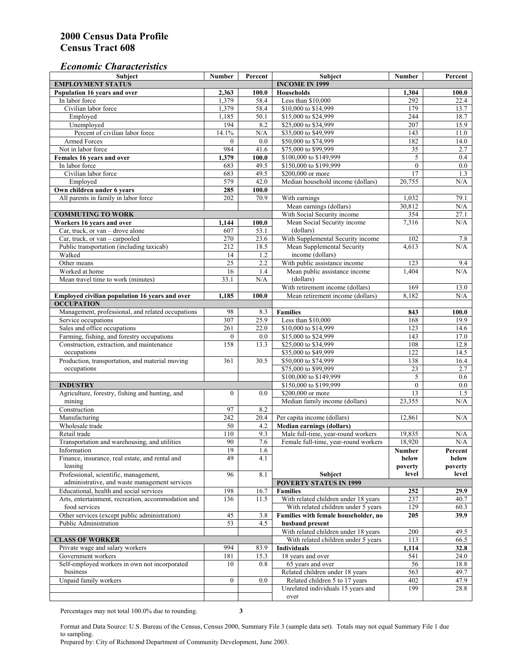## *Economic Characteristics*

| <b>Subject</b>                                     | Number           | Percent   | <b>Subject</b>                       | Number       | Percent          |
|----------------------------------------------------|------------------|-----------|--------------------------------------|--------------|------------------|
| <b>EMPLOYMENT STATUS</b>                           |                  |           | <b>INCOME IN 1999</b>                |              |                  |
| Population 16 years and over                       | 2,363            | 100.0     | Households                           | 1,304        | 100.0            |
| In labor force                                     | 1,379            | 58.4      | Less than \$10,000                   | 292          | 22.4             |
| Civilian labor force                               | 1,379            | 58.4      | \$10,000 to \$14,999                 | 179          | 13.7             |
| Employed                                           | 1,185            | 50.1      | \$15,000 to \$24,999                 | 244          | 18.7             |
| Unemployed                                         | 194              | 8.2       | \$25,000 to \$34,999                 | 207          | 15.9             |
| Percent of civilian labor force                    | 14.1%            | $\rm N/A$ | \$35,000 to \$49,999                 | 143          | 11.0             |
| Armed Forces                                       | $\mathbf{0}$     | 0.0       | \$50,000 to \$74,999                 | 182          | 14.0             |
| Not in labor force                                 | 984              | 41.6      | \$75,000 to \$99,999                 | 35           | 2.7              |
| Females 16 years and over                          | 1,379            | 100.0     | \$100,000 to \$149,999               | 5            | 0.4              |
| In labor force                                     | 683              | 49.5      | \$150,000 to \$199,999               | $\mathbf{0}$ | $\overline{0.0}$ |
| Civilian labor force                               | 683              | 49.5      | \$200,000 or more                    | 17           | 1.3              |
| Employed                                           | 579              | 42.0      | Median household income (dollars)    | 20,755       | N/A              |
| Own children under 6 years                         | 285              | 100.0     |                                      |              |                  |
| All parents in family in labor force               | 202              | 70.9      | With earnings                        | 1,032        | 79.1             |
|                                                    |                  |           | Mean earnings (dollars)              | 30,812       | N/A              |
| <b>COMMUTING TO WORK</b>                           |                  |           | With Social Security income          | 354          | 27.1             |
| Workers 16 years and over                          | 1,144            | 100.0     | Mean Social Security income          | 7,316        | N/A              |
| Car, truck, or van – drove alone                   | 607              | 53.1      | (dollars)                            |              |                  |
| Car, truck, or van - carpooled                     | 270              | 23.6      | With Supplemental Security income    | 102          | 7.8              |
| Public transportation (including taxicab)          | 212              | 18.5      | Mean Supplemental Security           | 4.613        | N/A              |
| Walked                                             | 14               | 1.2       | income (dollars)                     |              |                  |
| Other means                                        | $\overline{25}$  | 2.2       | With public assistance income        | 123          | 9.4              |
| Worked at home                                     | 16               | 1.4       | Mean public assistance income        | 1,404        | N/A              |
| Mean travel time to work (minutes)                 | 33.1             | N/A       | (dollars)                            |              |                  |
|                                                    |                  |           | With retirement income (dollars)     | 169          | 13.0             |
| Employed civilian population 16 years and over     | 1,185            | 100.0     | Mean retirement income (dollars)     | 8,182        | N/A              |
| <b>OCCUPATION</b>                                  |                  |           |                                      |              |                  |
| Management, professional, and related occupations  | 98               | 8.3       | <b>Families</b>                      | 843          | 100.0            |
| Service occupations                                | 307              | 25.9      | Less than \$10,000                   | 168          | 19.9             |
| Sales and office occupations                       | 261              | 22.0      | \$10,000 to \$14,999                 | 123          | 14.6             |
| Farming, fishing, and forestry occupations         | $\boldsymbol{0}$ | 0.0       | \$15,000 to \$24,999                 | 143          | 17.0             |
| Construction, extraction, and maintenance          | 158              | 13.3      | \$25,000 to \$34,999                 | 108          | 12.8             |
| occupations                                        |                  |           | \$35,000 to \$49,999                 | 122          | 14.5             |
| Production, transportation, and material moving    | 361              | 30.5      | \$50,000 to \$74,999                 | 138          | 16.4             |
| occupations                                        |                  |           | \$75,000 to \$99,999                 | 23           | 2.7              |
|                                                    |                  |           | \$100,000 to \$149,999               | 5            | 0.6              |
| <b>INDUSTRY</b>                                    |                  |           | \$150,000 to \$199,999               | $\mathbf{0}$ | 0.0              |
| Agriculture, forestry, fishing and hunting, and    | $\overline{0}$   | 0.0       | \$200,000 or more                    | 13           | 1.5              |
| mining                                             |                  |           | Median family income (dollars)       | 23,355       | N/A              |
| Construction                                       | 97               | 8.2       |                                      |              |                  |
| Manufacturing                                      | 242              | 20.4      | Per capita income (dollars)          | 12,861       | N/A              |
| Wholesale trade                                    | 50               | 4.2       | <b>Median earnings (dollars)</b>     |              |                  |
| Retail trade                                       | 110              | 9.3       | Male full-time, year-round workers   | 19,835       | N/A              |
| Transportation and warehousing, and utilities      | 90               | 7.6       | Female full-time, year-round workers | 18,920       | N/A              |
| Information                                        | 19               | 1.6       |                                      | Number       | Percent          |
| Finance, insurance, real estate, and rental and    | 49               | 4.1       |                                      | below        | below            |
| leasing                                            |                  |           |                                      | poverty      | poverty          |
| Professional, scientific, management,              | 96               | 8.1       | <b>Subject</b>                       | level        | level            |
| administrative, and waste management services      |                  |           | <b>POVERTY STATUS IN 1999</b>        |              |                  |
| Educational, health and social services            | 198              | 16.7      | <b>Families</b>                      | 252          | 29.9             |
| Arts, entertainment, recreation, accommodation and | 136              | 11.5      | With related children under 18 years | 237          | 40.7             |
| food services                                      |                  |           | With related children under 5 years  | 129          | 60.3             |
| Other services (except public administration)      | 45               | 3.8       | Families with female householder, no | 205          | 39.9             |
| <b>Public Administration</b>                       | $\overline{53}$  | 4.5       | husband present                      |              |                  |
|                                                    |                  |           | With related children under 18 years | 200          | 49.5             |
| <b>CLASS OF WORKER</b>                             |                  |           | With related children under 5 years  | 113          | 66.5             |
| Private wage and salary workers                    | 994              | 83.9      | <b>Individuals</b>                   | 1,114        | 32.8             |
| Government workers                                 | 181              | 15.3      | 18 years and over                    | 541          | 24.0             |
| Self-employed workers in own not incorporated      | 10               | 0.8       | 65 years and over                    | 56           | 18.8             |
| business                                           |                  |           | Related children under 18 years      | 563          | 49.7             |
| Unpaid family workers                              | $\boldsymbol{0}$ | 0.0       | Related children 5 to 17 years       | 402          | 47.9             |
|                                                    |                  |           | Unrelated individuals 15 years and   | 199          | 28.8             |
|                                                    |                  |           | over                                 |              |                  |
|                                                    |                  |           |                                      |              |                  |

Percentages may not total 100.0% due to rounding. **3** 

Format and Data Source: U.S. Bureau of the Census, Census 2000, Summary File 3 (sample data set). Totals may not equal Summary File 1 due to sampling.

Prepared by: City of Richmond Department of Community Development, June 2003.